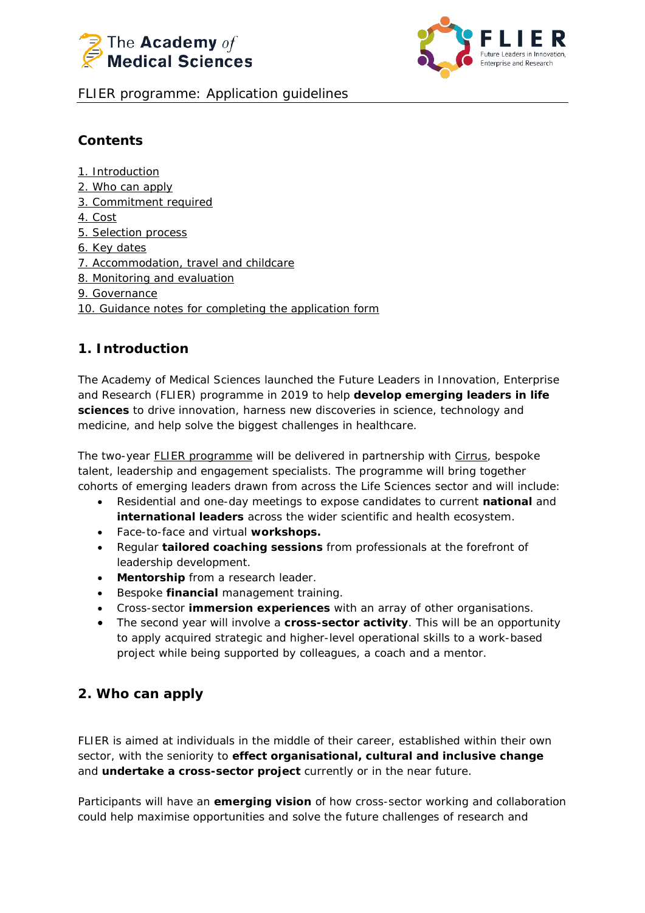



FLIER programme: Application guidelines

# **Contents**

[1. Introduction](#page-0-0) [2. Who can apply](#page-0-1) [3. Commitment required](#page-1-0) [4. Cost](#page-1-1) [5. Selection process](#page-2-0) [6. Key dates](#page-2-1) [7. Accommodation, travel and childcare](#page-3-0) [8. Monitoring and evaluation](#page-3-1) [9. Governance](#page-3-2) [10. Guidance notes for completing the application form](#page-4-0)

# <span id="page-0-0"></span>**1. Introduction**

The Academy of Medical Sciences launched the Future Leaders in Innovation, Enterprise and Research (FLIER) programme in 2019 to help **develop emerging leaders in life sciences** to drive innovation, harness new discoveries in science, technology and medicine, and help solve the biggest challenges in healthcare.

The two-year [FLIER programme](http://www.acmedsci.ac.uk/FLIER) will be delivered in partnership with [Cirrus,](http://cirrus-connect.com/) bespoke talent, leadership and engagement specialists. The programme will bring together cohorts of emerging leaders drawn from across the Life Sciences sector and will include:

- Residential and one-day meetings to expose candidates to current **national** and **international leaders** across the wider scientific and health ecosystem.
- Face-to-face and virtual **workshops.**
- Regular **tailored coaching sessions** from professionals at the forefront of leadership development.
- **Mentorship** from a research leader.
- Bespoke **financial** management training.
- Cross-sector **immersion experiences** with an array of other organisations.
- The second year will involve a **cross-sector activity**. This will be an opportunity to apply acquired strategic and higher-level operational skills to a work-based project while being supported by colleagues, a coach and a mentor.

# <span id="page-0-1"></span>**2. Who can apply**

FLIER is aimed at individuals in the middle of their career, established within their own sector, with the seniority to **effect organisational, cultural and inclusive change** and **undertake a cross-sector project** currently or in the near future.

Participants will have an **emerging vision** of how cross-sector working and collaboration could help maximise opportunities and solve the future challenges of research and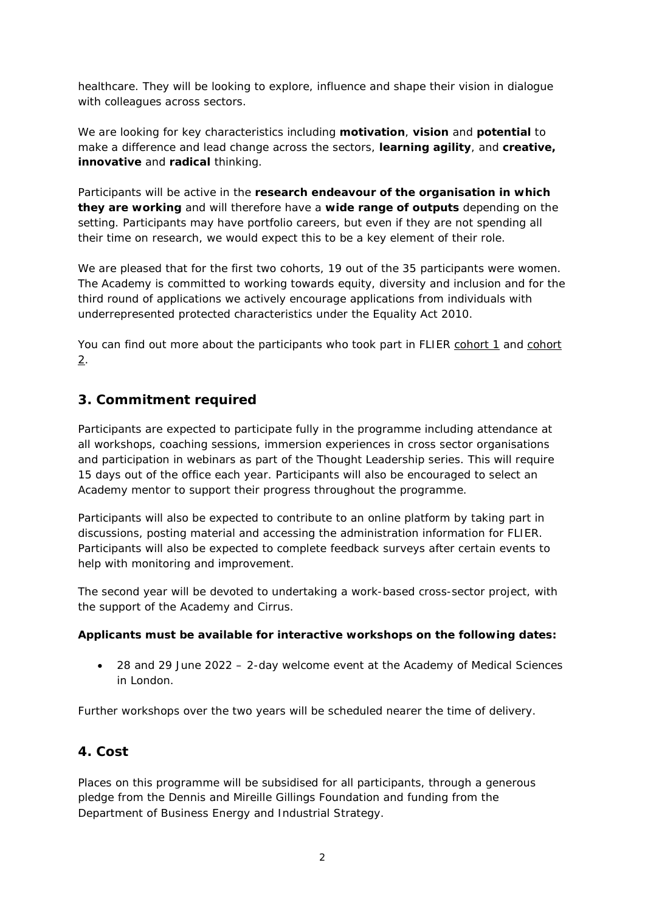healthcare. They will be looking to explore, influence and shape their vision in dialogue with colleagues across sectors.

We are looking for key characteristics including **motivation**, **vision** and **potential** to make a difference and lead change across the sectors, **learning agility**, and **creative, innovative** and **radical** thinking.

Participants will be active in the **research endeavour of the organisation in which they are working** and will therefore have a **wide range of outputs** depending on the setting. Participants may have portfolio careers, but even if they are not spending all their time on research, we would expect this to be a key element of their role.

We are pleased that for the first two cohorts, 19 out of the 35 participants were women. The Academy is committed to working towards equity, diversity and inclusion and for the third round of applications we actively encourage applications from individuals with underrepresented protected characteristics under the Equality Act 2010.

You can find out more about the participants who took part in FLIER [cohort 1](https://acmedsci.ac.uk/grants-and-schemes/mentoring-and-other-schemes/FLIER/flier-round-1-participants) and [cohort](https://acmedsci.ac.uk/grants-and-schemes/mentoring-and-other-schemes/FLIER/flier-round-2)  [2.](https://acmedsci.ac.uk/grants-and-schemes/mentoring-and-other-schemes/FLIER/flier-round-2)

# <span id="page-1-0"></span>**3. Commitment required**

Participants are expected to participate fully in the programme including attendance at all workshops, coaching sessions, immersion experiences in cross sector organisations and participation in webinars as part of the Thought Leadership series. This will require 15 days out of the office each year. Participants will also be encouraged to select an Academy mentor to support their progress throughout the programme.

Participants will also be expected to contribute to an online platform by taking part in discussions, posting material and accessing the administration information for FLIER. Participants will also be expected to complete feedback surveys after certain events to help with monitoring and improvement.

The second year will be devoted to undertaking a work-based cross-sector project, with the support of the Academy and Cirrus.

### **Applicants must be available for interactive workshops on the following dates:**

• 28 and 29 June 2022 – 2-day welcome event at the Academy of Medical Sciences in London.

<span id="page-1-1"></span>*Further workshops over the two years will be scheduled nearer the time of delivery.*

# **4. Cost**

Places on this programme will be subsidised for all participants, through a generous pledge from the Dennis and Mireille Gillings Foundation and funding from the Department of Business Energy and Industrial Strategy.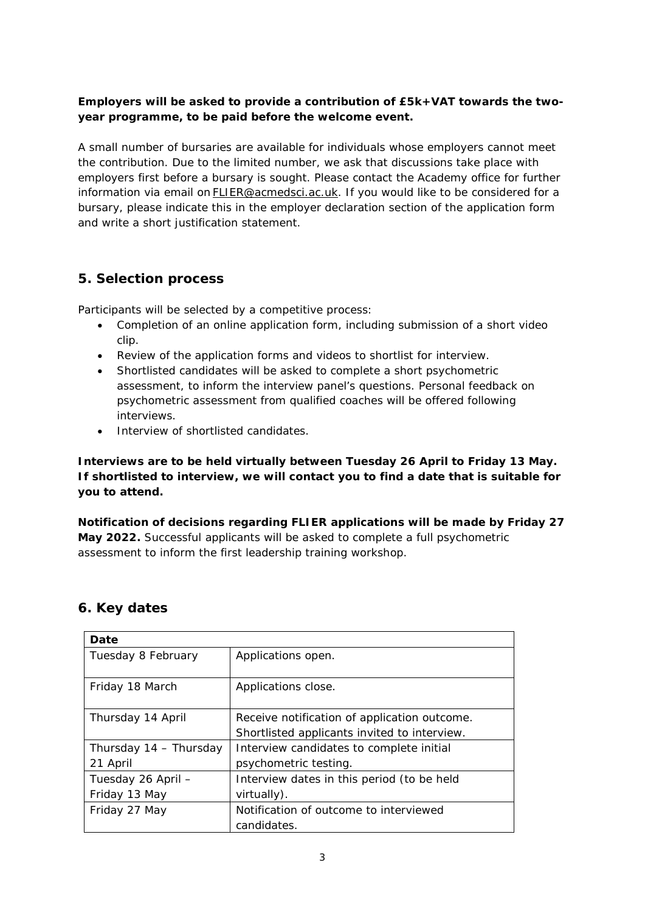### **Employers will be asked to provide a contribution of £5k+VAT towards the twoyear programme, to be paid before the welcome event.**

A small number of bursaries are available for individuals whose employers cannot meet the contribution. Due to the limited number, we ask that discussions take place with employers first before a bursary is sought. Please contact the Academy office for further information via email on **FLIER@acmedsci.ac.uk**. If you would like to be considered for a bursary, please indicate this in the employer declaration section of the application form and write a short justification statement.

# <span id="page-2-0"></span>**5. Selection process**

Participants will be selected by a competitive process:

- Completion of an online application form, including submission of a short video clip.
- Review of the application forms and videos to shortlist for interview.
- Shortlisted candidates will be asked to complete a short psychometric assessment, to inform the interview panel's questions. Personal feedback on psychometric assessment from qualified coaches will be offered following interviews.
- Interview of shortlisted candidates.

**Interviews are to be held virtually between Tuesday 26 April to Friday 13 May. If shortlisted to interview, we will contact you to find a date that is suitable for you to attend.**

**Notification of decisions regarding FLIER applications will be made by Friday 27 May 2022.** Successful applicants will be asked to complete a full psychometric assessment to inform the first leadership training workshop.

| Date                   |                                              |
|------------------------|----------------------------------------------|
| Tuesday 8 February     | Applications open.                           |
|                        |                                              |
| Friday 18 March        | Applications close.                          |
|                        |                                              |
| Thursday 14 April      | Receive notification of application outcome. |
|                        | Shortlisted applicants invited to interview. |
| Thursday 14 - Thursday | Interview candidates to complete initial     |
| 21 April               | psychometric testing.                        |
| Tuesday 26 April -     | Interview dates in this period (to be held   |
| Friday 13 May          | virtually).                                  |
| Friday 27 May          | Notification of outcome to interviewed       |
|                        | candidates.                                  |

# <span id="page-2-1"></span>**6. Key dates**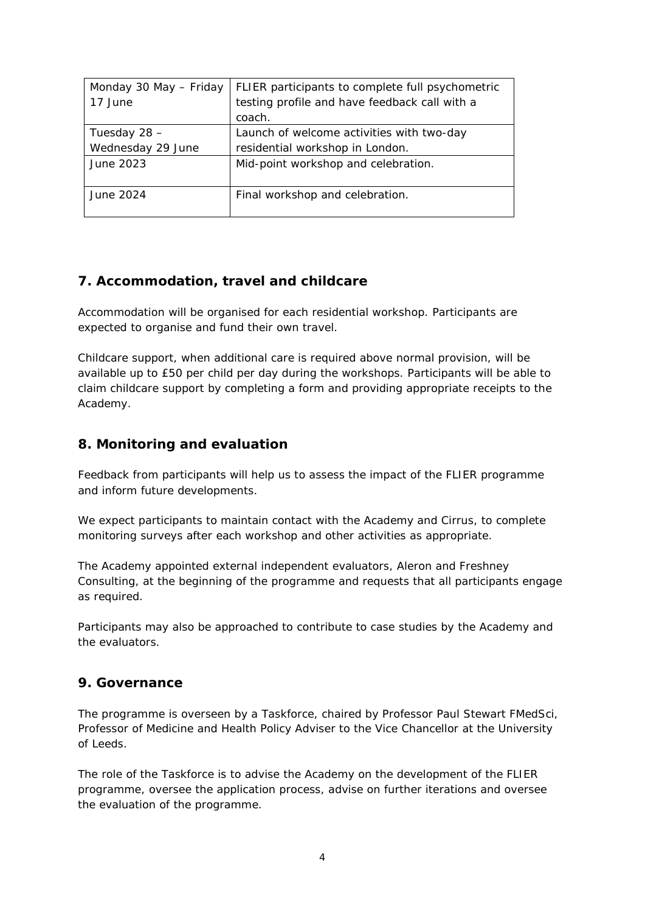| Monday 30 May - Friday | FLIER participants to complete full psychometric |
|------------------------|--------------------------------------------------|
| 17 June                | testing profile and have feedback call with a    |
|                        | coach.                                           |
| Tuesday 28 -           | Launch of welcome activities with two-day        |
| Wednesday 29 June      | residential workshop in London.                  |
| June 2023              | Mid-point workshop and celebration.              |
|                        |                                                  |
| June 2024              | Final workshop and celebration.                  |
|                        |                                                  |

# <span id="page-3-0"></span>**7. Accommodation, travel and childcare**

Accommodation will be organised for each residential workshop. Participants are expected to organise and fund their own travel.

Childcare support, when additional care is required above normal provision, will be available up to £50 per child per day during the workshops. Participants will be able to claim childcare support by completing a form and providing appropriate receipts to the Academy.

# <span id="page-3-1"></span>**8. Monitoring and evaluation**

Feedback from participants will help us to assess the impact of the FLIER programme and inform future developments.

We expect participants to maintain contact with the Academy and Cirrus, to complete monitoring surveys after each workshop and other activities as appropriate.

The Academy appointed external independent evaluators, Aleron and Freshney Consulting, at the beginning of the programme and requests that all participants engage as required.

Participants may also be approached to contribute to case studies by the Academy and the evaluators.

# <span id="page-3-2"></span>**9. Governance**

The programme is overseen by a Taskforce, chaired by Professor Paul Stewart FMedSci, Professor of Medicine and Health Policy Adviser to the Vice Chancellor at the University of Leeds.

The role of the Taskforce is to advise the Academy on the development of the FLIER programme, oversee the application process, advise on further iterations and oversee the evaluation of the programme.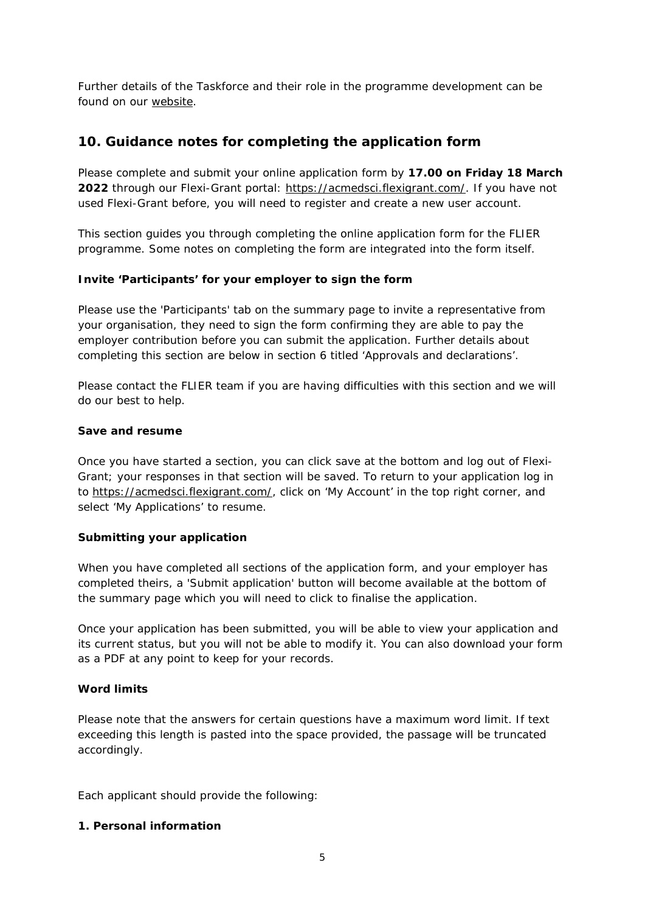Further details of the Taskforce and their role in the programme development can be found on our [website.](https://acmedsci.ac.uk/grants-and-schemes/mentoring-and-other-schemes/FLIER)

# <span id="page-4-0"></span>**10. Guidance notes for completing the application form**

Please complete and submit your online application form by **17.00 on Friday 18 March 2022** through our Flexi-Grant portal: [https://acmedsci.flexigrant.com/.](https://acmedsci.flexigrant.com/) If you have not used Flexi-Grant before, you will need to register and create a new user account.

This section guides you through completing the online application form for the FLIER programme. Some notes on completing the form are integrated into the form itself.

### **Invite 'Participants' for your employer to sign the form**

Please use the 'Participants' tab on the summary page to invite a representative from your organisation, they need to sign the form confirming they are able to pay the employer contribution before you can submit the application. Further details about completing this section are below in section 6 titled 'Approvals and declarations'.

Please contact the FLIER team if you are having difficulties with this section and we will do our best to help.

### **Save and resume**

Once you have started a section, you can click save at the bottom and log out of Flexi-Grant; your responses in that section will be saved. To return to your application log in to [https://acmedsci.flexigrant.com/,](https://acmedsci.flexigrant.com/) click on 'My Account' in the top right corner, and select 'My Applications' to resume.

#### **Submitting your application**

When you have completed all sections of the application form, and your employer has completed theirs, a 'Submit application' button will become available at the bottom of the summary page which you will need to click to finalise the application.

Once your application has been submitted, you will be able to view your application and its current status, but you will not be able to modify it. You can also download your form as a PDF at any point to keep for your records.

#### **Word limits**

Please note that the answers for certain questions have a maximum word limit. If text exceeding this length is pasted into the space provided, the passage will be truncated accordingly.

Each applicant should provide the following:

### **1. Personal information**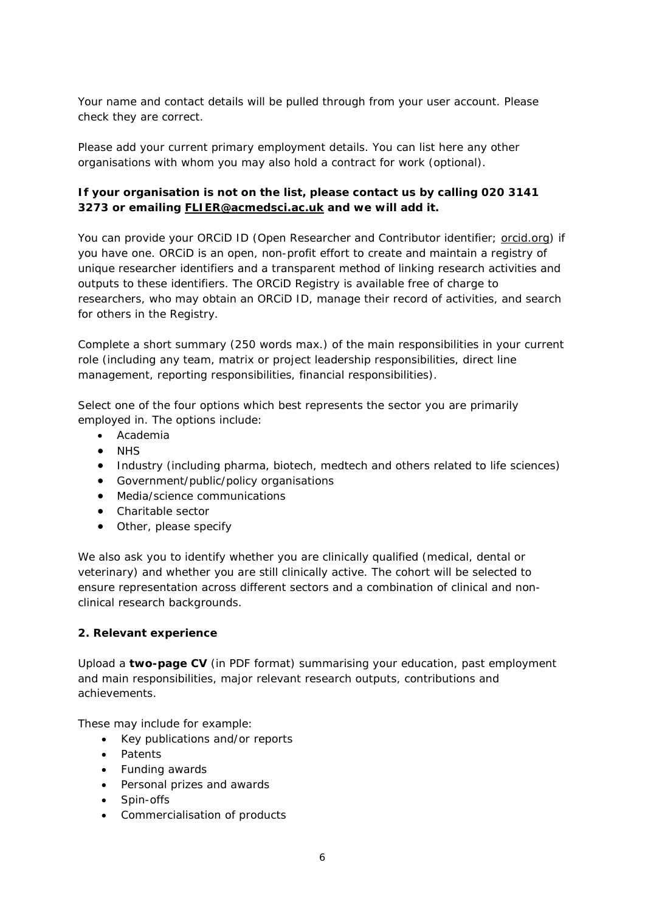Your name and contact details will be pulled through from your user account. Please check they are correct.

Please add your current primary employment details. You can list here any other organisations with whom you may also hold a contract for work (optional).

## **If your organisation is not on the list, please contact us by calling 020 3141 3273 or emailing [FLIER@acmedsci.ac.uk](mailto:FLIER@acmedsci.ac.uk) and we will add it.**

You can provide your ORCID ID (Open Researcher and Contributor identifier; [orcid.org\)](http://orcid.org/) if you have one. ORCiD is an open, non-profit effort to create and maintain a registry of unique researcher identifiers and a transparent method of linking research activities and outputs to these identifiers. The ORCiD Registry is available free of charge to researchers, who may obtain an ORCiD ID, manage their record of activities, and search for others in the Registry.

Complete a short summary (250 words max.) of the main responsibilities in your current role (including any team, matrix or project leadership responsibilities, direct line management, reporting responsibilities, financial responsibilities).

Select one of the four options which best represents the sector you are primarily employed in. The options include:

- Academia
- NHS
- Industry (including pharma, biotech, medtech and others related to life sciences)
- Government/public/policy organisations
- Media/science communications
- Charitable sector
- Other, please specify

We also ask you to identify whether you are clinically qualified (medical, dental or veterinary) and whether you are still clinically active. The cohort will be selected to ensure representation across different sectors and a combination of clinical and nonclinical research backgrounds.

#### **2. Relevant experience**

Upload a **two-page CV** (in PDF format) summarising your education, past employment and main responsibilities, major relevant research outputs, contributions and achievements.

These may include for example:

- Key publications and/or reports
- Patents
- Funding awards
- Personal prizes and awards
- Spin-offs
- Commercialisation of products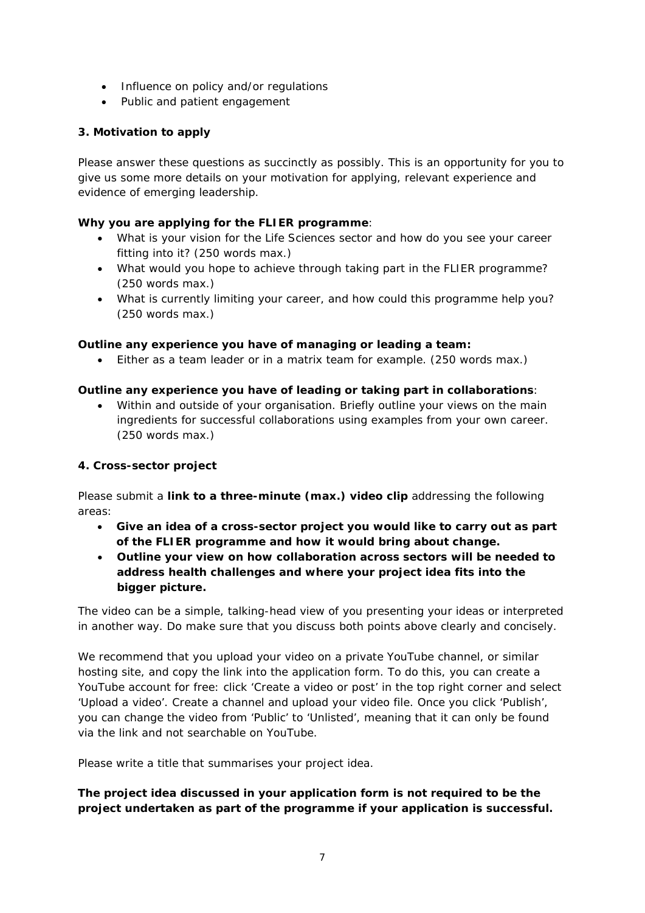- Influence on policy and/or regulations
- Public and patient engagement

## **3. Motivation to apply**

Please answer these questions as succinctly as possibly. This is an opportunity for you to give us some more details on your motivation for applying, relevant experience and evidence of emerging leadership.

## **Why you are applying for the FLIER programme**:

- What is your vision for the Life Sciences sector and how do you see your career fitting into it? (250 words max.)
- What would you hope to achieve through taking part in the FLIER programme? (250 words max.)
- What is currently limiting your career, and how could this programme help you? (250 words max.)

### **Outline any experience you have of managing or leading a team:**

• Either as a team leader or in a matrix team for example. (250 words max.)

### **Outline any experience you have of leading or taking part in collaborations**:

• Within and outside of your organisation. Briefly outline your views on the main ingredients for successful collaborations using examples from your own career. (250 words max.)

### **4. Cross-sector project**

Please submit a **link to a three-minute (max.) video clip** addressing the following areas:

- **Give an idea of a cross-sector project you would like to carry out as part of the FLIER programme and how it would bring about change.**
- **Outline your view on how collaboration across sectors will be needed to address health challenges and where your project idea fits into the bigger picture.**

The video can be a simple, talking-head view of you presenting your ideas or interpreted in another way. Do make sure that you discuss both points above clearly and concisely.

We recommend that you upload your video on a private YouTube channel, or similar hosting site, and copy the link into the application form. To do this, you can create a YouTube account for free: click 'Create a video or post' in the top right corner and select 'Upload a video'. Create a channel and upload your video file. Once you click 'Publish', you can change the video from 'Public' to 'Unlisted', meaning that it can only be found via the link and not searchable on YouTube.

Please write a title that summarises your project idea.

## *The project idea discussed in your application form is not required to be the project undertaken as part of the programme if your application is successful.*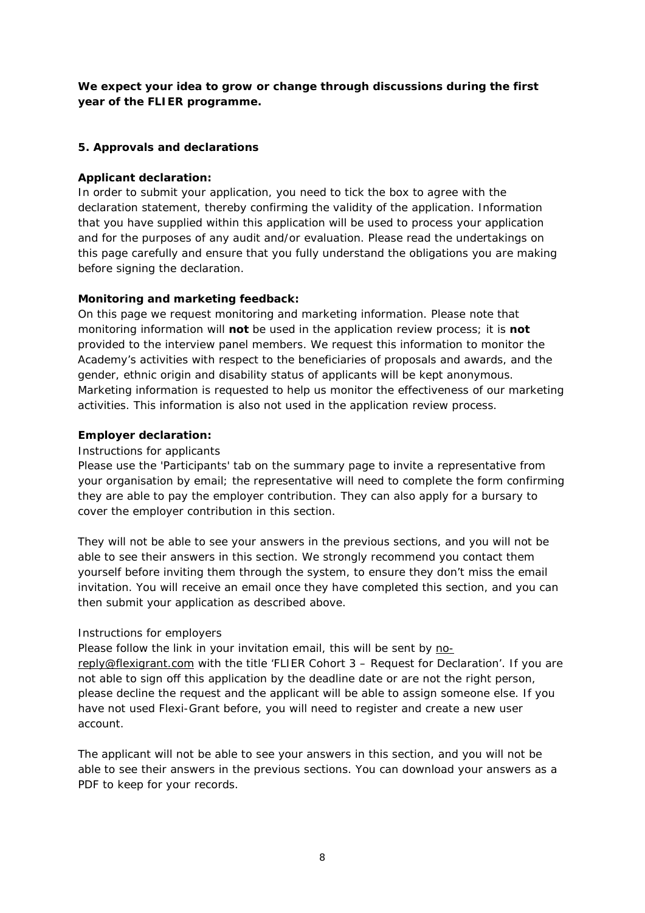## *We expect your idea to grow or change through discussions during the first year of the FLIER programme.*

### **5. Approvals and declarations**

### **Applicant declaration:**

In order to submit your application, you need to tick the box to agree with the declaration statement, thereby confirming the validity of the application. Information that you have supplied within this application will be used to process your application and for the purposes of any audit and/or evaluation. Please read the undertakings on this page carefully and ensure that you fully understand the obligations you are making before signing the declaration.

### **Monitoring and marketing feedback:**

On this page we request monitoring and marketing information. Please note that monitoring information will **not** be used in the application review process; it is **not** provided to the interview panel members. We request this information to monitor the Academy's activities with respect to the beneficiaries of proposals and awards, and the gender, ethnic origin and disability status of applicants will be kept anonymous. Marketing information is requested to help us monitor the effectiveness of our marketing activities. This information is also not used in the application review process.

#### **Employer declaration:**

#### *Instructions for applicants*

Please use the 'Participants' tab on the summary page to invite a representative from your organisation by email; the representative will need to complete the form confirming they are able to pay the employer contribution. They can also apply for a bursary to cover the employer contribution in this section.

They will not be able to see your answers in the previous sections, and you will not be able to see their answers in this section. We strongly recommend you contact them yourself before inviting them through the system, to ensure they don't miss the email invitation. You will receive an email once they have completed this section, and you can then submit your application as described above.

#### *Instructions for employers*

Please follow the link in your invitation email, this will be sent by [no](mailto:no-reply@flexigrant.com)[reply@flexigrant.com](mailto:no-reply@flexigrant.com) with the title 'FLIER Cohort 3 – Request for Declaration'. If you are not able to sign off this application by the deadline date or are not the right person, please decline the request and the applicant will be able to assign someone else. If you have not used Flexi-Grant before, you will need to register and create a new user account.

The applicant will not be able to see your answers in this section, and you will not be able to see their answers in the previous sections. You can download your answers as a PDF to keep for your records.